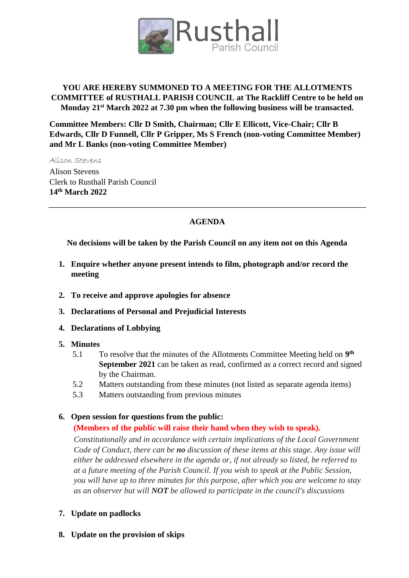

## **YOU ARE HEREBY SUMMONED TO A MEETING FOR THE ALLOTMENTS COMMITTEE of RUSTHALL PARISH COUNCIL at The Rackliff Centre to be held on Monday 21st March 2022 at 7.30 pm when the following business will be transacted.**

**Committee Members: Cllr D Smith, Chairman; Cllr E Ellicott, Vice-Chair; Cllr B Edwards, Cllr D Funnell, Cllr P Gripper, Ms S French (non-voting Committee Member) and Mr L Banks (non-voting Committee Member)**

Alison Stevens Alison Stevens Clerk to Rusthall Parish Council **14th March 2022**

## **AGENDA**

**No decisions will be taken by the Parish Council on any item not on this Agenda** 

- **1. Enquire whether anyone present intends to film, photograph and/or record the meeting**
- **2. To receive and approve apologies for absence**
- **3. Declarations of Personal and Prejudicial Interests**
- **4. Declarations of Lobbying**
- **5. Minutes** 
	- 5.1 To resolve that the minutes of the Allotments Committee Meeting held on 9<sup>th</sup> **September 2021** can be taken as read, confirmed as a correct record and signed by the Chairman.
	- 5.2 Matters outstanding from these minutes (not listed as separate agenda items)
	- 5.3 Matters outstanding from previous minutes

## **6. Open session for questions from the public:**

## **(Members of the public will raise their hand when they wish to speak).**

*Constitutionally and in accordance with certain implications of the Local Government Code of Conduct, there can be no discussion of these items at this stage. Any issue will either be addressed elsewhere in the agenda or, if not already so listed, be referred to at a future meeting of the Parish Council. If you wish to speak at the Public Session, you will have up to three minutes for this purpose, after which you are welcome to stay as an observer but will NOT be allowed to participate in the council's discussions*

- **7. Update on padlocks**
- **8. Update on the provision of skips**